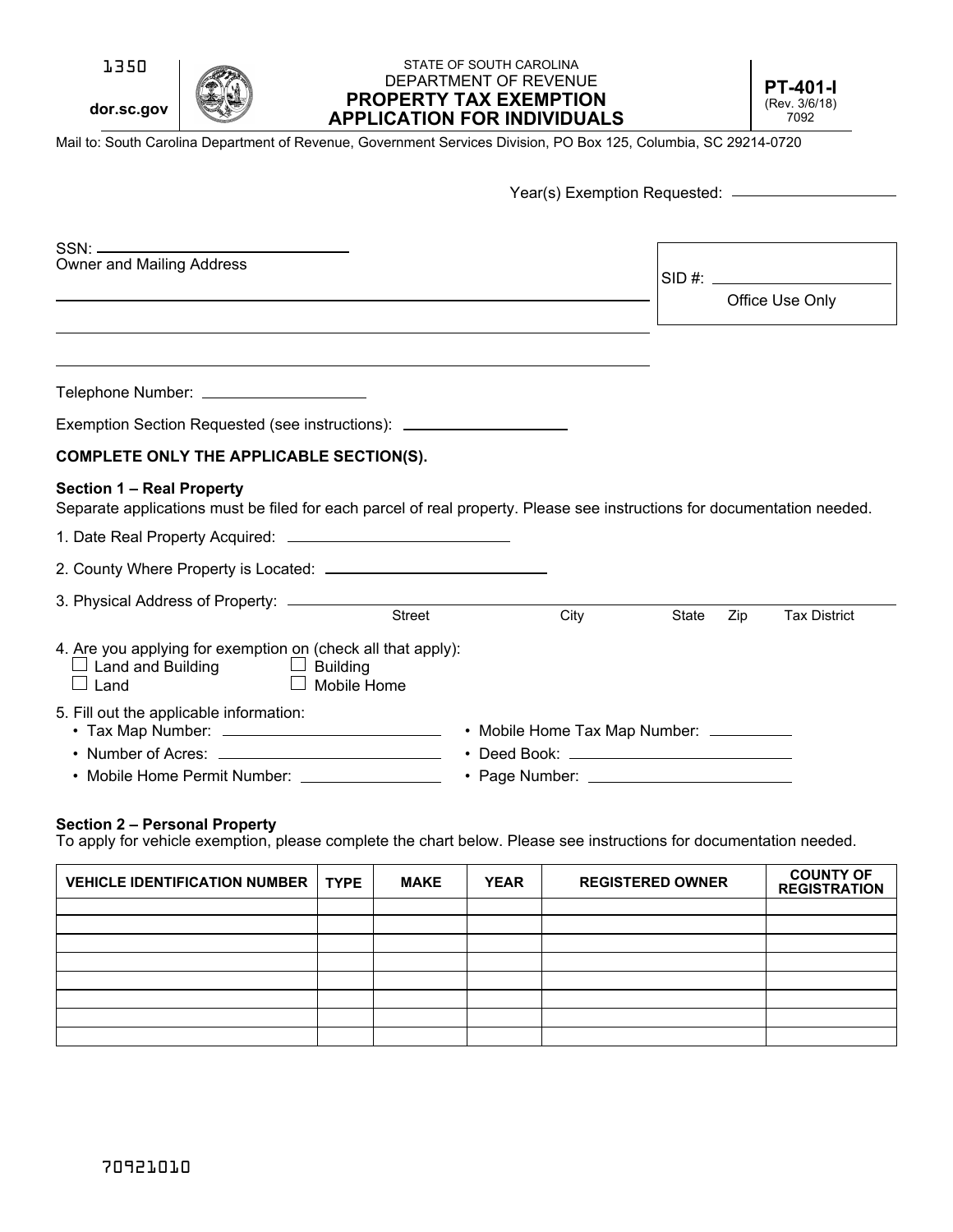1350

**dor.sc.gov**

#### **PROPERTY TAX EXEMPTION APPLICATION FOR INDIVIDUALS** STATE OF SOUTH CAROLINA DEPARTMENT OF REVENUE **PT-401-I**

(Rev. 3/6/18) 7092

Mail to: South Carolina Department of Revenue, Government Services Division, PO Box 125, Columbia, SC 29214-0720

|                                                                                                                                     | Year(s) Exemption Requested: _________________                                                                          |  |  |
|-------------------------------------------------------------------------------------------------------------------------------------|-------------------------------------------------------------------------------------------------------------------------|--|--|
|                                                                                                                                     |                                                                                                                         |  |  |
|                                                                                                                                     |                                                                                                                         |  |  |
| <b>Owner and Mailing Address</b>                                                                                                    |                                                                                                                         |  |  |
|                                                                                                                                     | Office Use Only                                                                                                         |  |  |
|                                                                                                                                     |                                                                                                                         |  |  |
|                                                                                                                                     |                                                                                                                         |  |  |
| Telephone Number: ______________________                                                                                            |                                                                                                                         |  |  |
| Exemption Section Requested (see instructions): ________________________________                                                    |                                                                                                                         |  |  |
| <b>COMPLETE ONLY THE APPLICABLE SECTION(S).</b>                                                                                     |                                                                                                                         |  |  |
| <b>Section 1 - Real Property</b>                                                                                                    | Separate applications must be filed for each parcel of real property. Please see instructions for documentation needed. |  |  |
|                                                                                                                                     |                                                                                                                         |  |  |
|                                                                                                                                     |                                                                                                                         |  |  |
| <b>Street</b>                                                                                                                       | City<br><b>Tax District</b><br><b>State</b><br>Zip                                                                      |  |  |
| 4. Are you applying for exemption on (check all that apply):<br>$\sqcup$ Land and Building $\sqcup$ Building<br>Mobile Home<br>Land |                                                                                                                         |  |  |
|                                                                                                                                     |                                                                                                                         |  |  |

#### **Section 2 – Personal Property**

To apply for vehicle exemption, please complete the chart below. Please see instructions for documentation needed.

| <b>VEHICLE IDENTIFICATION NUMBER</b> | <b>TYPE</b> | <b>MAKE</b> | <b>YEAR</b> | <b>REGISTERED OWNER</b> | <b>COUNTY OF</b><br><b>REGISTRATION</b> |
|--------------------------------------|-------------|-------------|-------------|-------------------------|-----------------------------------------|
|                                      |             |             |             |                         |                                         |
|                                      |             |             |             |                         |                                         |
|                                      |             |             |             |                         |                                         |
|                                      |             |             |             |                         |                                         |
|                                      |             |             |             |                         |                                         |
|                                      |             |             |             |                         |                                         |
|                                      |             |             |             |                         |                                         |
|                                      |             |             |             |                         |                                         |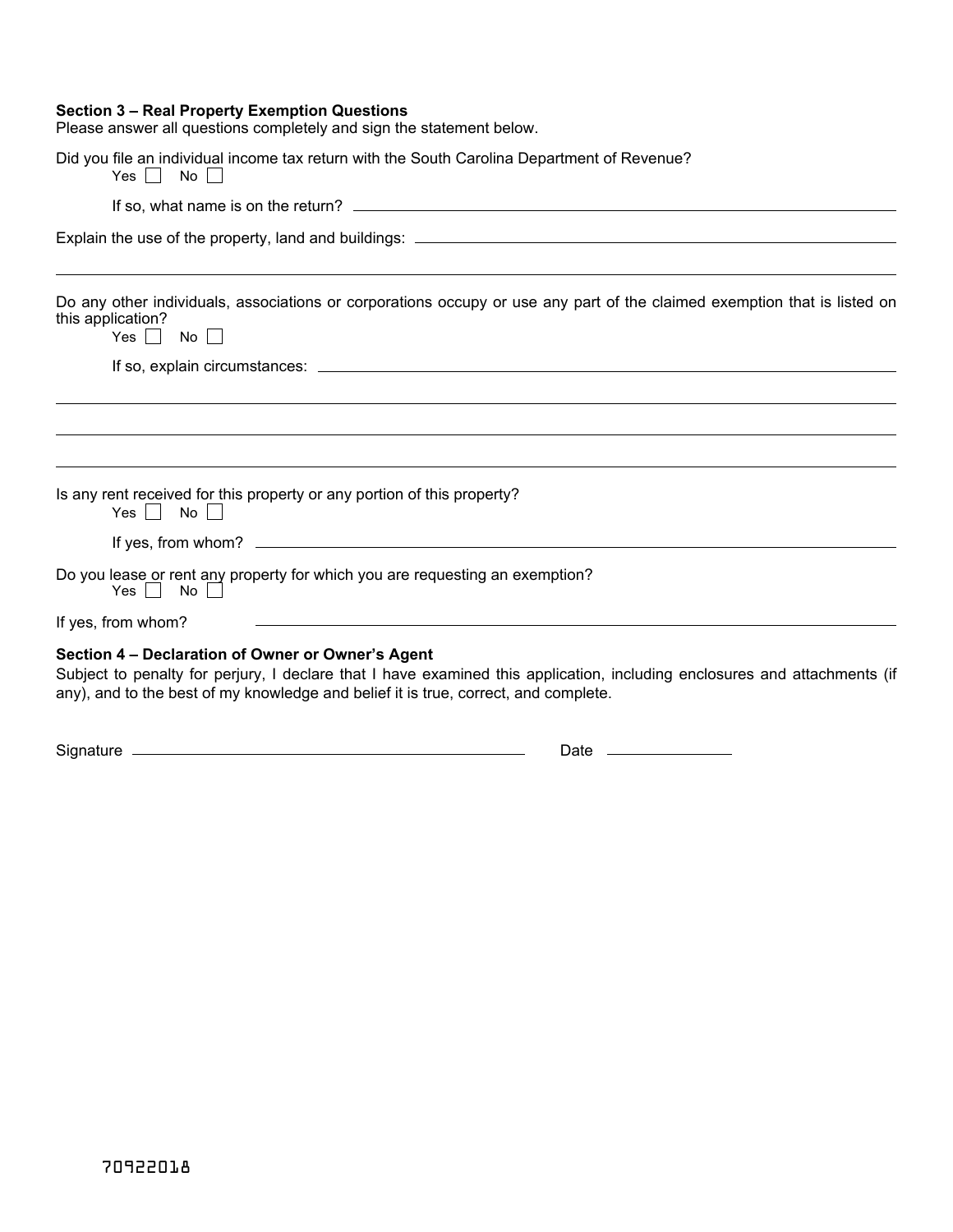#### **Section 3 – Real Property Exemption Questions**

F Please answer all questions completely and sign the statement below.

| Did you file an individual income tax return with the South Carolina Department of Revenue?<br>$\Box$ No<br>Yes                          |                                                                                                                                                                                                                               |
|------------------------------------------------------------------------------------------------------------------------------------------|-------------------------------------------------------------------------------------------------------------------------------------------------------------------------------------------------------------------------------|
|                                                                                                                                          |                                                                                                                                                                                                                               |
|                                                                                                                                          |                                                                                                                                                                                                                               |
| this application?<br>Yes $\vert$ No $\vert$ $\vert$                                                                                      | Do any other individuals, associations or corporations occupy or use any part of the claimed exemption that is listed on                                                                                                      |
|                                                                                                                                          |                                                                                                                                                                                                                               |
|                                                                                                                                          |                                                                                                                                                                                                                               |
|                                                                                                                                          |                                                                                                                                                                                                                               |
| Is any rent received for this property or any portion of this property?<br>Yes $\Box$ No $\Box$                                          |                                                                                                                                                                                                                               |
|                                                                                                                                          |                                                                                                                                                                                                                               |
| Do you lease or rent any property for which you are requesting an exemption?<br>$Yes \mid \mid No \mid \mid$                             |                                                                                                                                                                                                                               |
| If yes, from whom?                                                                                                                       | the control of the control of the control of the control of the control of the control of the control of the control of the control of the control of the control of the control of the control of the control of the control |
| Section 4 - Declaration of Owner or Owner's Agent<br>any), and to the best of my knowledge and belief it is true, correct, and complete. | Subject to penalty for perjury, I declare that I have examined this application, including enclosures and attachments (if                                                                                                     |

Signature Date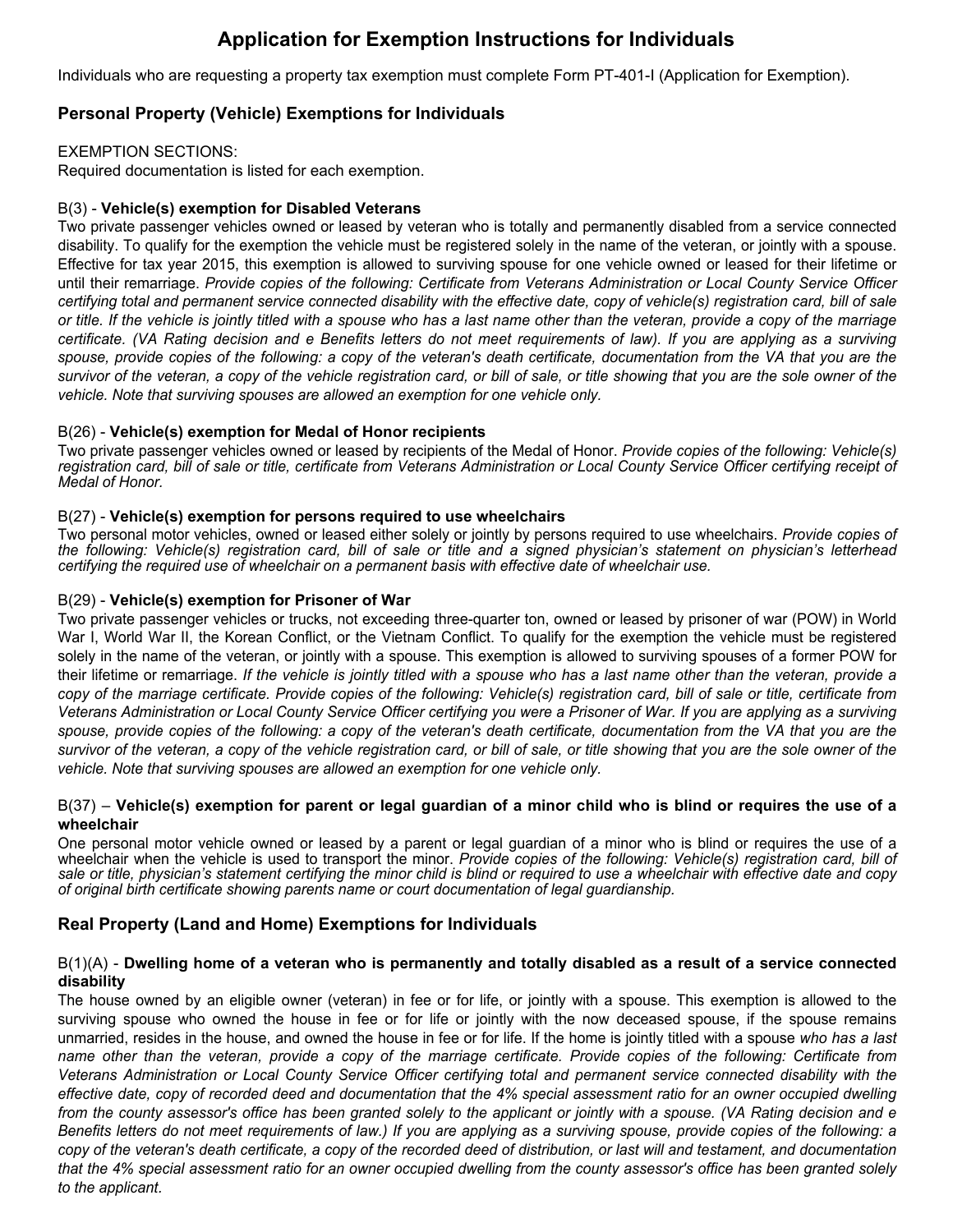# **Application for Exemption Instructions for Individuals**

Individuals who are requesting a property tax exemption must complete Form PT-401-I (Application for Exemption).

# **Personal Property (Vehicle) Exemptions for Individuals**

EXEMPTION SECTIONS:

Required documentation is listed for each exemption.

#### B(3) - **Vehicle(s) exemption for Disabled Veterans**

Two private passenger vehicles owned or leased by veteran who is totally and permanently disabled from a service connected disability. To qualify for the exemption the vehicle must be registered solely in the name of the veteran, or jointly with a spouse. Effective for tax year 2015, this exemption is allowed to surviving spouse for one vehicle owned or leased for their lifetime or until their remarriage. *Provide copies of the following: Certificate from Veterans Administration or Local County Service Officer certifying total and permanent service connected disability with the effective date, copy of vehicle(s) registration card, bill of sale*  or title. If the vehicle is jointly titled with a spouse who has a last name other than the veteran, provide a copy of the marriage certificate. (VA Rating decision and e Benefits letters do not meet requirements of law). If you are applying as a surviving *spouse, provide copies of the following: a copy of the veteran's death certificate, documentation from the VA that you are the survivor of the veteran, a copy of the vehicle registration card, or bill of sale, or title showing that you are the sole owner of the vehicle. Note that surviving spouses are allowed an exemption for one vehicle only.* 

#### B(26) - **Vehicle(s) exemption for Medal of Honor recipients**

Two private passenger vehicles owned or leased by recipients of the Medal of Honor. *Provide copies of the following: Vehicle(s) registration card, bill of sale or title, certificate from Veterans Administration or Local County Service Officer certifying receipt of Medal of Honor.*

#### B(27) - **Vehicle(s) exemption for persons required to use wheelchairs**

Two personal motor vehicles, owned or leased either solely or jointly by persons required to use wheelchairs. *Provide copies of the following: Vehicle(s) registration card, bill of sale or title and a signed physician's statement on physician's letterhead certifying the required use of wheelchair on a permanent basis with effective date of wheelchair use.*

### B(29) - **Vehicle(s) exemption for Prisoner of War**

Two private passenger vehicles or trucks, not exceeding three-quarter ton, owned or leased by prisoner of war (POW) in World War I, World War II, the Korean Conflict, or the Vietnam Conflict. To qualify for the exemption the vehicle must be registered solely in the name of the veteran, or jointly with a spouse. This exemption is allowed to surviving spouses of a former POW for their lifetime or remarriage. If the vehicle is jointly titled with a spouse who has a last name other than the veteran, provide a *copy of the marriage certificate. Provide copies of the following: Vehicle(s) registration card, bill of sale or title, certificate from Veterans Administration or Local County Service Officer certifying you were a Prisoner of War. If you are applying as a surviving spouse, provide copies of the following: a copy of the veteran's death certificate, documentation from the VA that you are the survivor of the veteran, a copy of the vehicle registration card, or bill of sale, or title showing that you are the sole owner of the vehicle. Note that surviving spouses are allowed an exemption for one vehicle only.*

#### B(37) – **Vehicle(s) exemption for parent or legal guardian of a minor child who is blind or requires the use of a wheelchair**

One personal motor vehicle owned or leased by a parent or legal guardian of a minor who is blind or requires the use of a wheelchair when the vehicle is used to transport the minor. *Provide copies of the following: Vehicle(s) registration card, bill of sale or title, physician's statement certifying the minor child is blind or required to use a wheelchair with effective date and copy of original birth certificate showing parents name or court documentation of legal guardianship.* 

## **Real Property (Land and Home) Exemptions for Individuals**

#### B(1)(A) - **Dwelling home of a veteran who is permanently and totally disabled as a result of a service connected disability**

The house owned by an eligible owner (veteran) in fee or for life, or jointly with a spouse. This exemption is allowed to the surviving spouse who owned the house in fee or for life or jointly with the now deceased spouse, if the spouse remains unmarried, resides in the house, and owned the house in fee or for life. If the home is jointly titled with a spouse *who has a last name other than the veteran, provide a copy of the marriage certificate. Provide copies of the following: Certificate from Veterans Administration or Local County Service Officer certifying total and permanent service connected disability with the effective date, copy of recorded deed and documentation that the 4% special assessment ratio for an owner occupied dwelling*  from the county assessor's office has been granted solely to the applicant or jointly with a spouse. (VA Rating decision and e *Benefits letters do not meet requirements of law.) If you are applying as a surviving spouse, provide copies of the following: a copy of the veteran's death certificate, a copy of the recorded deed of distribution, or last will and testament, and documentation that the 4% special assessment ratio for an owner occupied dwelling from the county assessor's office has been granted solely to the applicant.*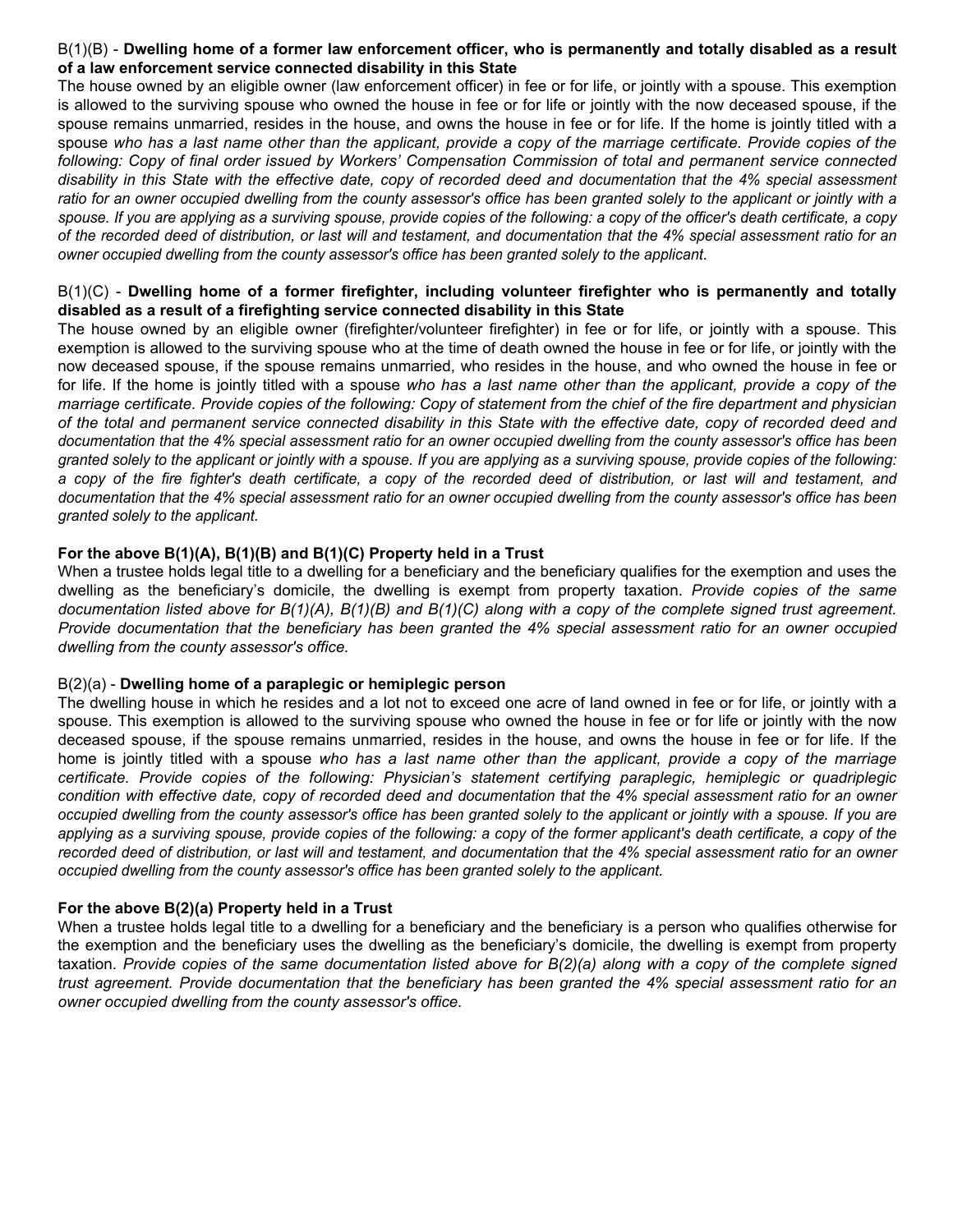#### B(1)(B) - **Dwelling home of a former law enforcement officer, who is permanently and totally disabled as a result of a law enforcement service connected disability in this State**

The house owned by an eligible owner (law enforcement officer) in fee or for life, or jointly with a spouse. This exemption is allowed to the surviving spouse who owned the house in fee or for life or jointly with the now deceased spouse, if the spouse remains unmarried, resides in the house, and owns the house in fee or for life. If the home is jointly titled with a spouse who has a last name other than the applicant, provide a copy of the marriage certificate. Provide copies of the *following: Copy of final order issued by Workers' Compensation Commission of total and permanent service connected disability in this State with the effective date, copy of recorded deed and documentation that the 4% special assessment*  ratio for an owner occupied dwelling from the county assessor's office has been granted solely to the applicant or jointly with a *spouse. If you are applying as a surviving spouse, provide copies of the following: a copy of the officer's death certificate, a copy of the recorded deed of distribution, or last will and testament, and documentation that the 4% special assessment ratio for an owner occupied dwelling from the county assessor's office has been granted solely to the applicant.*

#### B(1)(C) - **Dwelling home of a former firefighter, including volunteer firefighter who is permanently and totally disabled as a result of a firefighting service connected disability in this State**

The house owned by an eligible owner (firefighter/volunteer firefighter) in fee or for life, or jointly with a spouse. This exemption is allowed to the surviving spouse who at the time of death owned the house in fee or for life, or jointly with the now deceased spouse, if the spouse remains unmarried, who resides in the house, and who owned the house in fee or for life. If the home is jointly titled with a spouse *who has a last name other than the applicant, provide a copy of the marriage certificate. Provide copies of the following: Copy of statement from the chief of the fire department and physician of the total and permanent service connected disability in this State with the effective date, copy of recorded deed and documentation that the 4% special assessment ratio for an owner occupied dwelling from the county assessor's office has been granted solely to the applicant or jointly with a spouse. If you are applying as a surviving spouse, provide copies of the following: a copy of the fire fighter's death certificate, a copy of the recorded deed of distribution, or last will and testament, and documentation that the 4% special assessment ratio for an owner occupied dwelling from the county assessor's office has been granted solely to the applicant.*

#### **For the above B(1)(A), B(1)(B) and B(1)(C) Property held in a Trust**

When a trustee holds legal title to a dwelling for a beneficiary and the beneficiary qualifies for the exemption and uses the dwelling as the beneficiary's domicile, the dwelling is exempt from property taxation. *Provide copies of the same documentation listed above for B(1)(A), B(1)(B) and B(1)(C) along with a copy of the complete signed trust agreement. Provide documentation that the beneficiary has been granted the 4% special assessment ratio for an owner occupied dwelling from the county assessor's office.*

#### B(2)(a) - **Dwelling home of a paraplegic or hemiplegic person**

The dwelling house in which he resides and a lot not to exceed one acre of land owned in fee or for life, or jointly with a spouse. This exemption is allowed to the surviving spouse who owned the house in fee or for life or jointly with the now deceased spouse, if the spouse remains unmarried, resides in the house, and owns the house in fee or for life. If the home is jointly titled with a spouse *who has a last name other than the applicant, provide a copy of the marriage certificate. Provide copies of the following: Physician's statement certifying paraplegic, hemiplegic or quadriplegic condition with effective date, copy of recorded deed and documentation that the 4% special assessment ratio for an owner occupied dwelling from the county assessor's office has been granted solely to the applicant or jointly with a spouse. If you are applying as a surviving spouse, provide copies of the following: a copy of the former applicant's death certificate, a copy of the recorded deed of distribution, or last will and testament, and documentation that the 4% special assessment ratio for an owner occupied dwelling from the county assessor's office has been granted solely to the applicant.*

#### **For the above B(2)(a) Property held in a Trust**

When a trustee holds legal title to a dwelling for a beneficiary and the beneficiary is a person who qualifies otherwise for the exemption and the beneficiary uses the dwelling as the beneficiary's domicile, the dwelling is exempt from property taxation. *Provide copies of the same documentation listed above for B(2)(a) along with a copy of the complete signed trust agreement. Provide documentation that the beneficiary has been granted the 4% special assessment ratio for an owner occupied dwelling from the county assessor's office.*